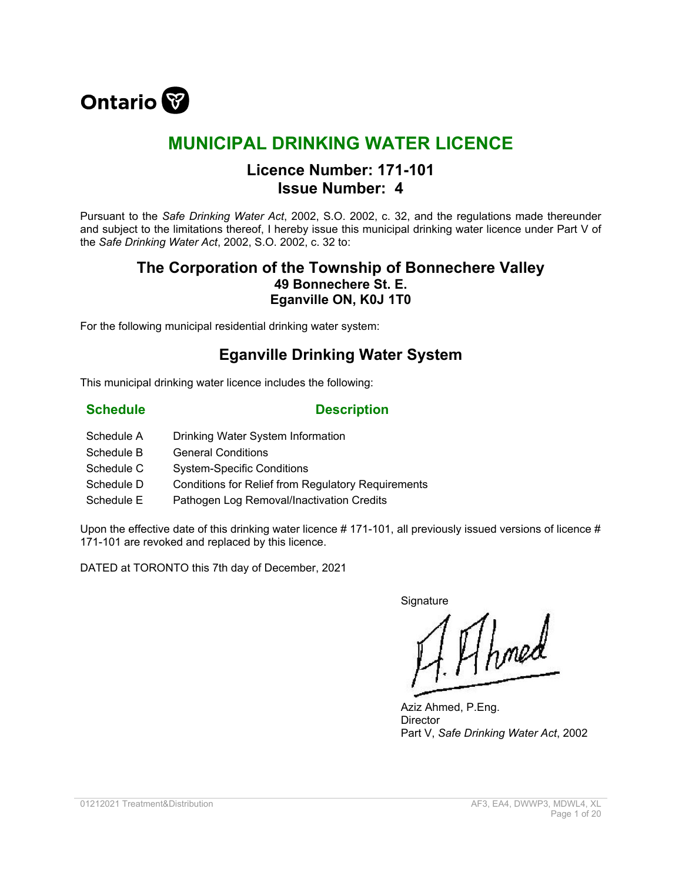

# **MUNICIPAL DRINKING WATER LICENCE**

# **Licence Number: 171-101 Issue Number: 4**

Pursuant to the *Safe Drinking Water Act*, 2002, S.O. 2002, c. 32, and the regulations made thereunder and subject to the limitations thereof, I hereby issue this municipal drinking water licence under Part V of the *Safe Drinking Water Act*, 2002, S.O. 2002, c. 32 to:

# **The Corporation of the Township of Bonnechere Valley 49 Bonnechere St. E. Eganville ON, K0J 1T0**

For the following municipal residential drinking water system:

# **Eganville Drinking Water System**

This municipal drinking water licence includes the following:

### **Schedule Description**

- Schedule A Drinking Water System Information
- Schedule B General Conditions
- Schedule C System-Specific Conditions
- Schedule D Conditions for Relief from Regulatory Requirements
- Schedule E Pathogen Log Removal/Inactivation Credits

Upon the effective date of this drinking water licence # 171-101, all previously issued versions of licence # 171-101 are revoked and replaced by this licence.

DATED at TORONTO this 7th day of December, 2021

**Signature** 

1 Ahmed

Aziz Ahmed, P.Eng. **Director** Part V, *Safe Drinking Water Act*, 2002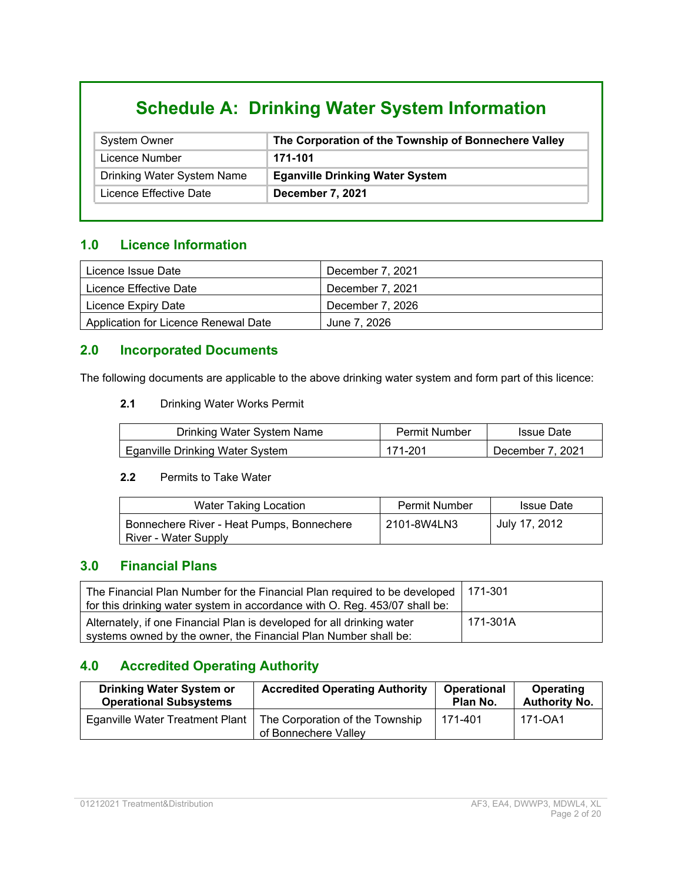# **Schedule A: Drinking Water System Information**

| <b>System Owner</b>        | The Corporation of the Township of Bonnechere Valley |
|----------------------------|------------------------------------------------------|
| Licence Number             | 171-101                                              |
| Drinking Water System Name | <b>Eganville Drinking Water System</b>               |
| Licence Effective Date     | December 7, 2021                                     |

### **1.0 Licence Information**

| Licence Issue Date                   | December 7, 2021 |
|--------------------------------------|------------------|
| Licence Effective Date               | December 7, 2021 |
| Licence Expiry Date                  | December 7, 2026 |
| Application for Licence Renewal Date | June 7, 2026     |

### **2.0 Incorporated Documents**

The following documents are applicable to the above drinking water system and form part of this licence:

#### **2.1** Drinking Water Works Permit

| Drinking Water System Name      | Permit Number | <b>Issue Date</b> |
|---------------------------------|---------------|-------------------|
| Eganville Drinking Water System | 171-201       | December 7, 2021  |

#### **2.2** Permits to Take Water

| Water Taking Location                                             | <b>Permit Number</b> | <b>Issue Date</b> |
|-------------------------------------------------------------------|----------------------|-------------------|
| Bonnechere River - Heat Pumps, Bonnechere<br>River - Water Supply | 2101-8W4LN3          | July 17, 2012     |

### **3.0 Financial Plans**

| The Financial Plan Number for the Financial Plan required to be developed   171-301<br>for this drinking water system in accordance with O. Reg. 453/07 shall be: |          |
|-------------------------------------------------------------------------------------------------------------------------------------------------------------------|----------|
| Alternately, if one Financial Plan is developed for all drinking water<br>systems owned by the owner, the Financial Plan Number shall be:                         | 171-301A |

# **4.0 Accredited Operating Authority**

| <b>Drinking Water System or</b> | <b>Accredited Operating Authority</b>                   | <b>Operational</b> | Operating            |
|---------------------------------|---------------------------------------------------------|--------------------|----------------------|
| <b>Operational Subsystems</b>   |                                                         | Plan No.           | <b>Authority No.</b> |
| Eganville Water Treatment Plant | The Corporation of the Township<br>of Bonnechere Valley | 171-401            | 171-OA1              |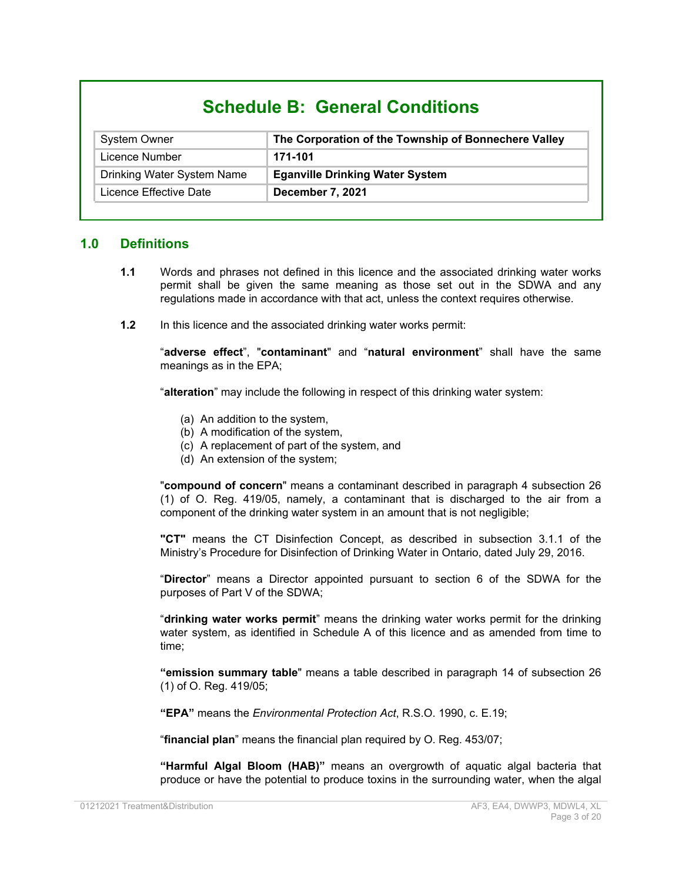# **Schedule B: General Conditions**

| <b>System Owner</b>        | The Corporation of the Township of Bonnechere Valley |
|----------------------------|------------------------------------------------------|
| Licence Number             | 171-101                                              |
| Drinking Water System Name | <b>Eganville Drinking Water System</b>               |
| Licence Effective Date     | December 7, 2021                                     |

#### **1.0 Definitions**

- **1.1** Words and phrases not defined in this licence and the associated drinking water works permit shall be given the same meaning as those set out in the SDWA and any regulations made in accordance with that act, unless the context requires otherwise.
- **1.2** In this licence and the associated drinking water works permit:

"**adverse effect**", "**contaminant**" and "**natural environment**" shall have the same meanings as in the EPA;

"**alteration**" may include the following in respect of this drinking water system:

- (a) An addition to the system,
- (b) A modification of the system,
- (c) A replacement of part of the system, and
- (d) An extension of the system;

"**compound of concern**" means a contaminant described in paragraph 4 subsection 26 (1) of O. Reg. 419/05, namely, a contaminant that is discharged to the air from a component of the drinking water system in an amount that is not negligible;

**"CT"** means the CT Disinfection Concept, as described in subsection 3.1.1 of the Ministry's Procedure for Disinfection of Drinking Water in Ontario, dated July 29, 2016.

"**Director**" means a Director appointed pursuant to section 6 of the SDWA for the purposes of Part V of the SDWA;

"**drinking water works permit**" means the drinking water works permit for the drinking water system, as identified in Schedule A of this licence and as amended from time to time;

**"emission summary table**" means a table described in paragraph 14 of subsection 26 (1) of O. Reg. 419/05;

**"EPA"** means the *Environmental Protection Act*, R.S.O. 1990, c. E.19;

"**financial plan**" means the financial plan required by O. Reg. 453/07;

**"Harmful Algal Bloom (HAB)"** means an overgrowth of aquatic algal bacteria that produce or have the potential to produce toxins in the surrounding water, when the algal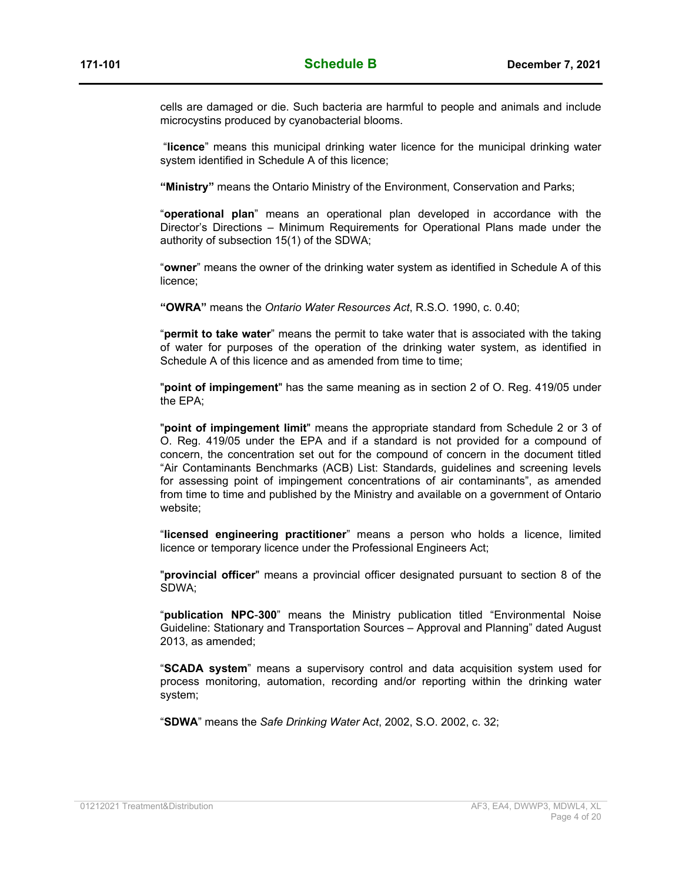cells are damaged or die. Such bacteria are harmful to people and animals and include microcystins produced by cyanobacterial blooms.

"**licence**" means this municipal drinking water licence for the municipal drinking water system identified in Schedule A of this licence;

**"Ministry"** means the Ontario Ministry of the Environment, Conservation and Parks;

"**operational plan**" means an operational plan developed in accordance with the Director's Directions – Minimum Requirements for Operational Plans made under the authority of subsection 15(1) of the SDWA;

"**owner**" means the owner of the drinking water system as identified in Schedule A of this licence;

**"OWRA"** means the *Ontario Water Resources Act*, R.S.O. 1990, c. 0.40;

"**permit to take water**" means the permit to take water that is associated with the taking of water for purposes of the operation of the drinking water system, as identified in Schedule A of this licence and as amended from time to time;

"**point of impingement**" has the same meaning as in section 2 of O. Reg. 419/05 under the EPA;

"**point of impingement limit**" means the appropriate standard from Schedule 2 or 3 of O. Reg. 419/05 under the EPA and if a standard is not provided for a compound of concern, the concentration set out for the compound of concern in the document titled "Air Contaminants Benchmarks (ACB) List: Standards, guidelines and screening levels for assessing point of impingement concentrations of air contaminants", as amended from time to time and published by the Ministry and available on a government of Ontario website;

"**licensed engineering practitioner**" means a person who holds a licence, limited licence or temporary licence under the Professional Engineers Act;

"**provincial officer**" means a provincial officer designated pursuant to section 8 of the SDWA;

"**publication NPC**-**300**" means the Ministry publication titled "Environmental Noise Guideline: Stationary and Transportation Sources – Approval and Planning" dated August 2013, as amended;

"**SCADA system**" means a supervisory control and data acquisition system used for process monitoring, automation, recording and/or reporting within the drinking water system;

"**SDWA**" means the *Safe Drinking Water* Ac*t*, 2002, S.O. 2002, c. 32;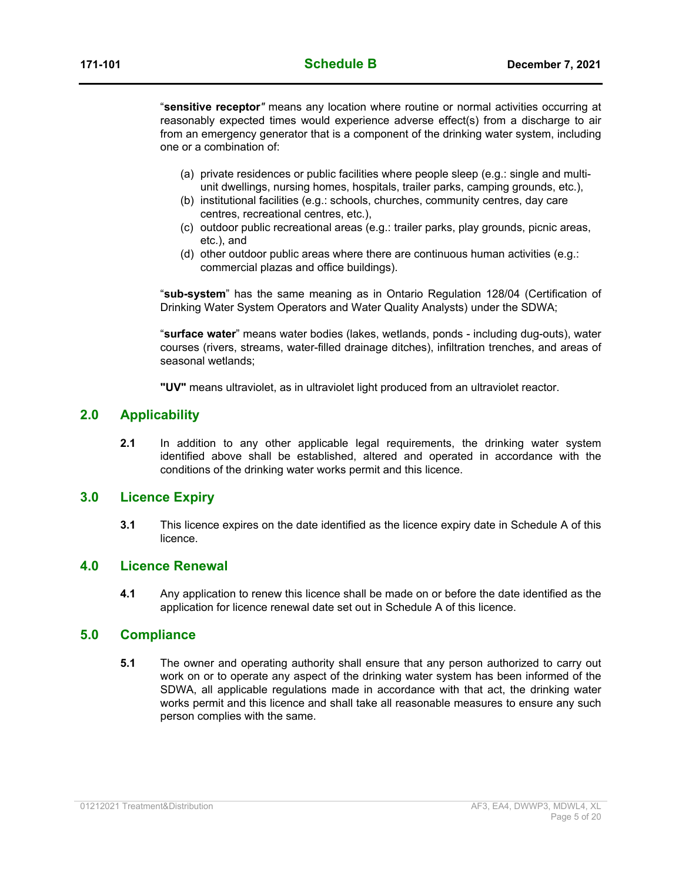"**sensitive receptor***"* means any location where routine or normal activities occurring at reasonably expected times would experience adverse effect(s) from a discharge to air from an emergency generator that is a component of the drinking water system, including one or a combination of:

- (a) private residences or public facilities where people sleep (e.g.: single and multiunit dwellings, nursing homes, hospitals, trailer parks, camping grounds, etc.),
- (b) institutional facilities (e.g.: schools, churches, community centres, day care centres, recreational centres, etc.),
- (c) outdoor public recreational areas (e.g.: trailer parks, play grounds, picnic areas, etc.), and
- (d) other outdoor public areas where there are continuous human activities (e.g.: commercial plazas and office buildings).

"**sub-system**" has the same meaning as in Ontario Regulation 128/04 (Certification of Drinking Water System Operators and Water Quality Analysts) under the SDWA;

"**surface water**" means water bodies (lakes, wetlands, ponds - including dug-outs), water courses (rivers, streams, water-filled drainage ditches), infiltration trenches, and areas of seasonal wetlands;

**"UV"** means ultraviolet, as in ultraviolet light produced from an ultraviolet reactor.

#### **2.0 Applicability**

**2.1** In addition to any other applicable legal requirements, the drinking water system identified above shall be established, altered and operated in accordance with the conditions of the drinking water works permit and this licence.

#### **3.0 Licence Expiry**

**3.1** This licence expires on the date identified as the licence expiry date in Schedule A of this licence.

#### **4.0 Licence Renewal**

**4.1** Any application to renew this licence shall be made on or before the date identified as the application for licence renewal date set out in Schedule A of this licence.

#### **5.0 Compliance**

**5.1** The owner and operating authority shall ensure that any person authorized to carry out work on or to operate any aspect of the drinking water system has been informed of the SDWA, all applicable regulations made in accordance with that act, the drinking water works permit and this licence and shall take all reasonable measures to ensure any such person complies with the same.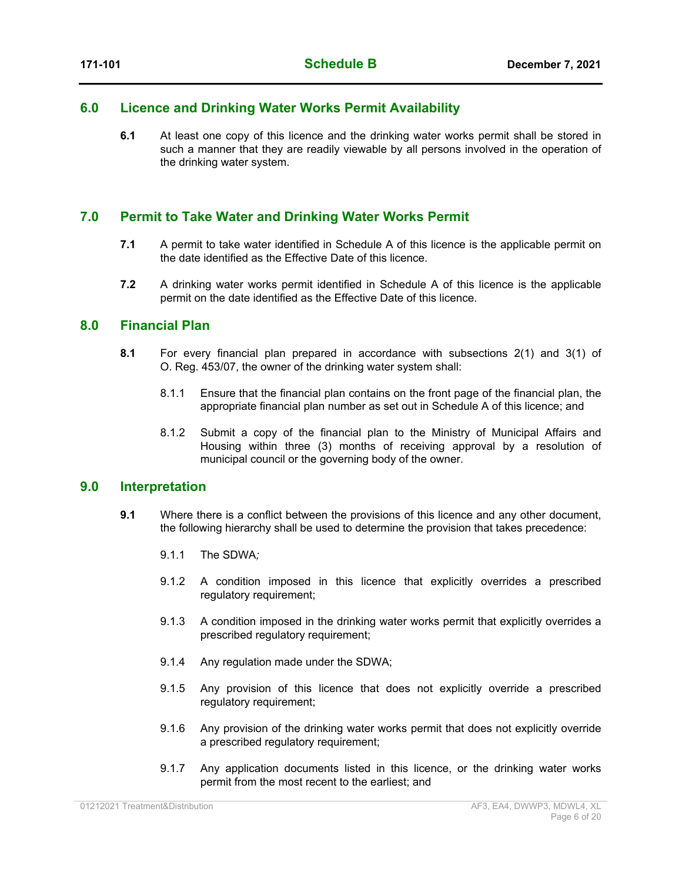#### **6.0 Licence and Drinking Water Works Permit Availability**

**6.1** At least one copy of this licence and the drinking water works permit shall be stored in such a manner that they are readily viewable by all persons involved in the operation of the drinking water system.

#### **7.0 Permit to Take Water and Drinking Water Works Permit**

- **7.1** A permit to take water identified in Schedule A of this licence is the applicable permit on the date identified as the Effective Date of this licence.
- **7.2** A drinking water works permit identified in Schedule A of this licence is the applicable permit on the date identified as the Effective Date of this licence.

#### **8.0 Financial Plan**

- **8.1** For every financial plan prepared in accordance with subsections 2(1) and 3(1) of O. Reg. 453/07, the owner of the drinking water system shall:
	- 8.1.1 Ensure that the financial plan contains on the front page of the financial plan, the appropriate financial plan number as set out in Schedule A of this licence; and
	- 8.1.2 Submit a copy of the financial plan to the Ministry of Municipal Affairs and Housing within three (3) months of receiving approval by a resolution of municipal council or the governing body of the owner.

#### **9.0 Interpretation**

- **9.1** Where there is a conflict between the provisions of this licence and any other document, the following hierarchy shall be used to determine the provision that takes precedence:
	- 9.1.1 The SDWA*;*
	- 9.1.2 A condition imposed in this licence that explicitly overrides a prescribed regulatory requirement;
	- 9.1.3 A condition imposed in the drinking water works permit that explicitly overrides a prescribed regulatory requirement;
	- 9.1.4 Any regulation made under the SDWA;
	- 9.1.5 Any provision of this licence that does not explicitly override a prescribed regulatory requirement;
	- 9.1.6 Any provision of the drinking water works permit that does not explicitly override a prescribed regulatory requirement;
	- 9.1.7 Any application documents listed in this licence, or the drinking water works permit from the most recent to the earliest; and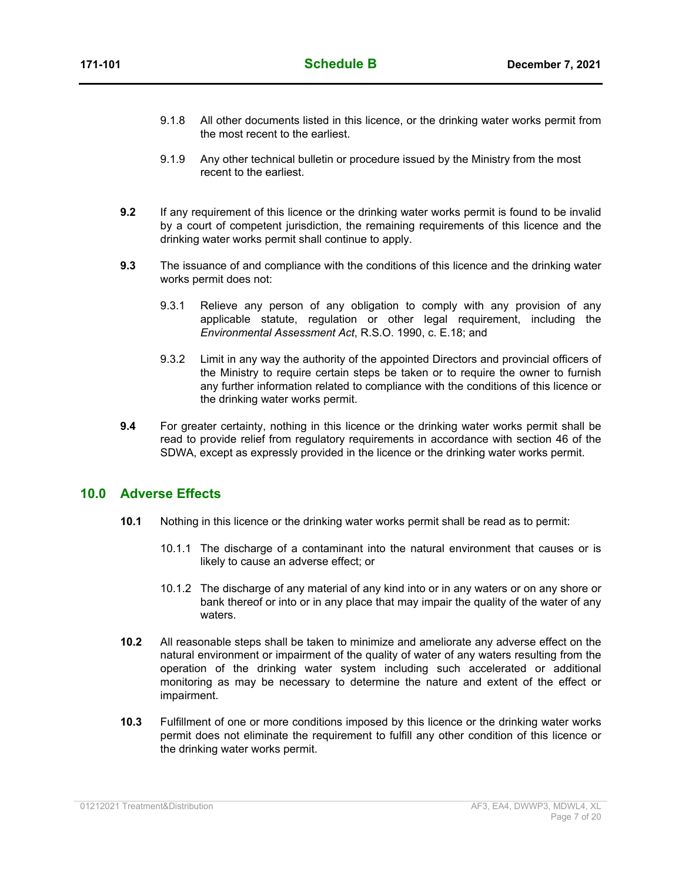- 9.1.8 All other documents listed in this licence, or the drinking water works permit from the most recent to the earliest.
- 9.1.9 Any other technical bulletin or procedure issued by the Ministry from the most recent to the earliest.
- **9.2** If any requirement of this licence or the drinking water works permit is found to be invalid by a court of competent jurisdiction, the remaining requirements of this licence and the drinking water works permit shall continue to apply.
- **9.3** The issuance of and compliance with the conditions of this licence and the drinking water works permit does not:
	- 9.3.1 Relieve any person of any obligation to comply with any provision of any applicable statute, regulation or other legal requirement, including the *Environmental Assessment Act*, R.S.O. 1990, c. E.18; and
	- 9.3.2 Limit in any way the authority of the appointed Directors and provincial officers of the Ministry to require certain steps be taken or to require the owner to furnish any further information related to compliance with the conditions of this licence or the drinking water works permit.
- **9.4** For greater certainty, nothing in this licence or the drinking water works permit shall be read to provide relief from regulatory requirements in accordance with section 46 of the SDWA, except as expressly provided in the licence or the drinking water works permit.

#### **10.0 Adverse Effects**

- **10.1** Nothing in this licence or the drinking water works permit shall be read as to permit:
	- 10.1.1 The discharge of a contaminant into the natural environment that causes or is likely to cause an adverse effect; or
	- 10.1.2 The discharge of any material of any kind into or in any waters or on any shore or bank thereof or into or in any place that may impair the quality of the water of any waters.
- **10.2** All reasonable steps shall be taken to minimize and ameliorate any adverse effect on the natural environment or impairment of the quality of water of any waters resulting from the operation of the drinking water system including such accelerated or additional monitoring as may be necessary to determine the nature and extent of the effect or impairment.
- **10.3** Fulfillment of one or more conditions imposed by this licence or the drinking water works permit does not eliminate the requirement to fulfill any other condition of this licence or the drinking water works permit.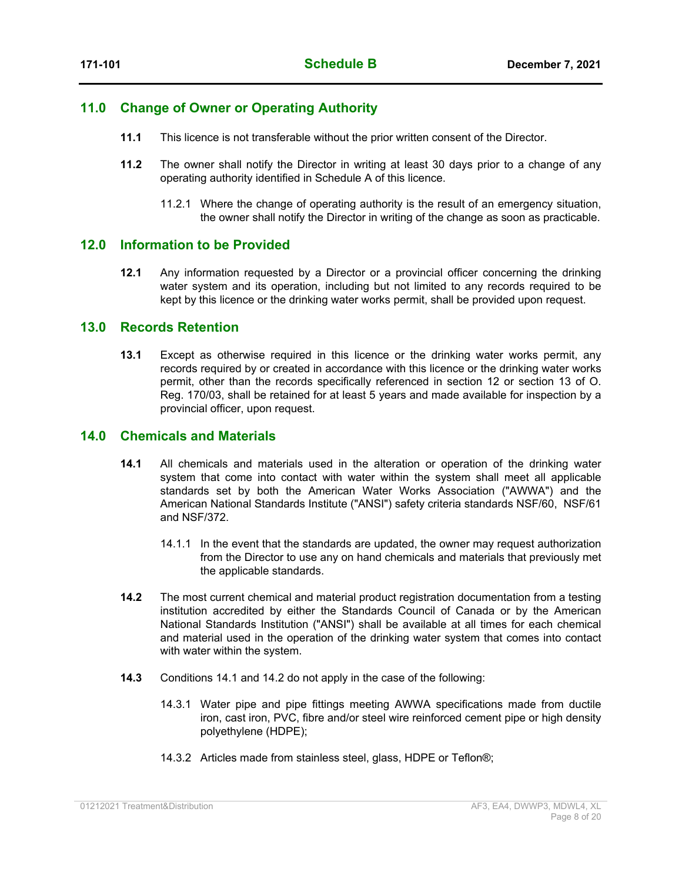#### **11.0 Change of Owner or Operating Authority**

- **11.1** This licence is not transferable without the prior written consent of the Director.
- **11.2** The owner shall notify the Director in writing at least 30 days prior to a change of any operating authority identified in Schedule A of this licence.
	- 11.2.1 Where the change of operating authority is the result of an emergency situation, the owner shall notify the Director in writing of the change as soon as practicable.

#### **12.0 Information to be Provided**

**12.1** Any information requested by a Director or a provincial officer concerning the drinking water system and its operation, including but not limited to any records required to be kept by this licence or the drinking water works permit, shall be provided upon request.

#### **13.0 Records Retention**

**13.1** Except as otherwise required in this licence or the drinking water works permit, any records required by or created in accordance with this licence or the drinking water works permit, other than the records specifically referenced in section 12 or section 13 of O. Reg. 170/03, shall be retained for at least 5 years and made available for inspection by a provincial officer, upon request.

#### **14.0 Chemicals and Materials**

- **14.1** All chemicals and materials used in the alteration or operation of the drinking water system that come into contact with water within the system shall meet all applicable standards set by both the American Water Works Association ("AWWA") and the American National Standards Institute ("ANSI") safety criteria standards NSF/60, NSF/61 and NSF/372.
	- 14.1.1 In the event that the standards are updated, the owner may request authorization from the Director to use any on hand chemicals and materials that previously met the applicable standards.
- **14.2** The most current chemical and material product registration documentation from a testing institution accredited by either the Standards Council of Canada or by the American National Standards Institution ("ANSI") shall be available at all times for each chemical and material used in the operation of the drinking water system that comes into contact with water within the system.
- **14.3** Conditions 14.1 and 14.2 do not apply in the case of the following:
	- 14.3.1 Water pipe and pipe fittings meeting AWWA specifications made from ductile iron, cast iron, PVC, fibre and/or steel wire reinforced cement pipe or high density polyethylene (HDPE);
	- 14.3.2 Articles made from stainless steel, glass, HDPE or Teflon®;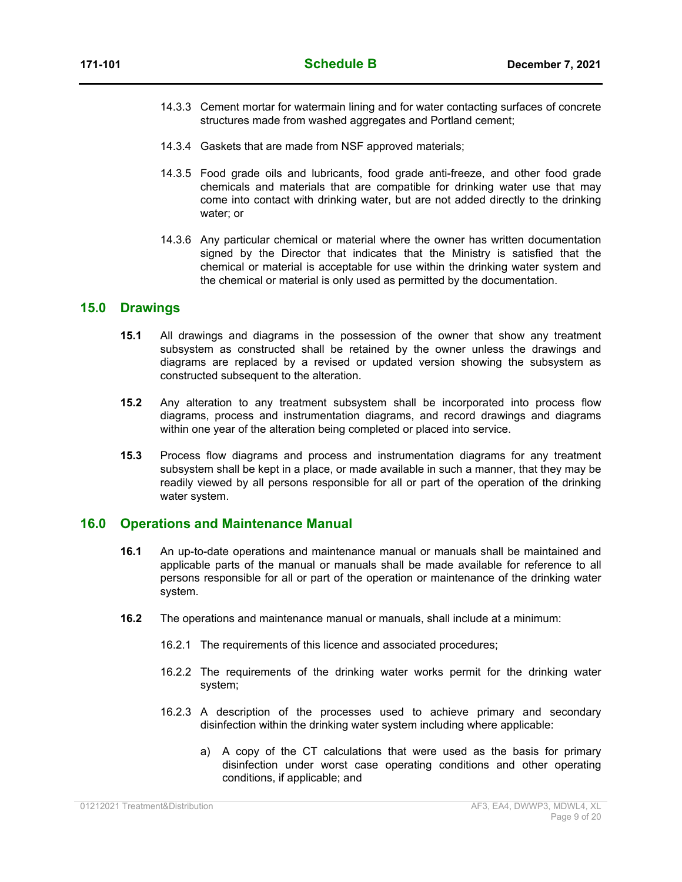- 14.3.3 Cement mortar for watermain lining and for water contacting surfaces of concrete structures made from washed aggregates and Portland cement;
- 14.3.4 Gaskets that are made from NSF approved materials;
- 14.3.5 Food grade oils and lubricants, food grade anti-freeze, and other food grade chemicals and materials that are compatible for drinking water use that may come into contact with drinking water, but are not added directly to the drinking water; or
- 14.3.6 Any particular chemical or material where the owner has written documentation signed by the Director that indicates that the Ministry is satisfied that the chemical or material is acceptable for use within the drinking water system and the chemical or material is only used as permitted by the documentation.

#### **15.0 Drawings**

- **15.1** All drawings and diagrams in the possession of the owner that show any treatment subsystem as constructed shall be retained by the owner unless the drawings and diagrams are replaced by a revised or updated version showing the subsystem as constructed subsequent to the alteration.
- **15.2** Any alteration to any treatment subsystem shall be incorporated into process flow diagrams, process and instrumentation diagrams, and record drawings and diagrams within one year of the alteration being completed or placed into service.
- **15.3** Process flow diagrams and process and instrumentation diagrams for any treatment subsystem shall be kept in a place, or made available in such a manner, that they may be readily viewed by all persons responsible for all or part of the operation of the drinking water system.

#### **16.0 Operations and Maintenance Manual**

- **16.1** An up-to-date operations and maintenance manual or manuals shall be maintained and applicable parts of the manual or manuals shall be made available for reference to all persons responsible for all or part of the operation or maintenance of the drinking water system.
- **16.2** The operations and maintenance manual or manuals, shall include at a minimum:
	- 16.2.1 The requirements of this licence and associated procedures;
	- 16.2.2 The requirements of the drinking water works permit for the drinking water system;
	- 16.2.3 A description of the processes used to achieve primary and secondary disinfection within the drinking water system including where applicable:
		- a) A copy of the CT calculations that were used as the basis for primary disinfection under worst case operating conditions and other operating conditions, if applicable; and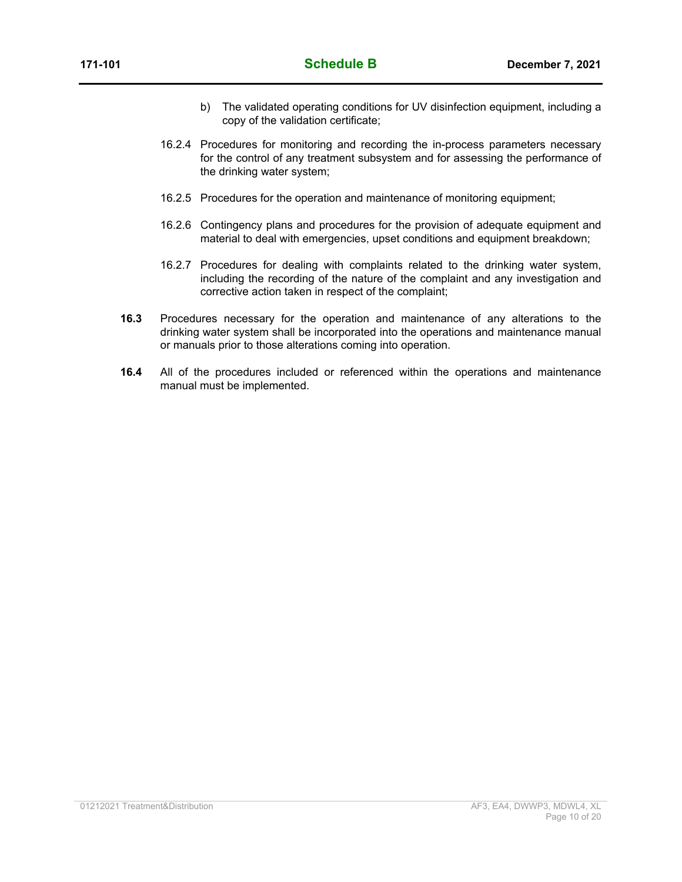- b) The validated operating conditions for UV disinfection equipment, including a copy of the validation certificate;
- 16.2.4 Procedures for monitoring and recording the in-process parameters necessary for the control of any treatment subsystem and for assessing the performance of the drinking water system;
- 16.2.5 Procedures for the operation and maintenance of monitoring equipment;
- 16.2.6 Contingency plans and procedures for the provision of adequate equipment and material to deal with emergencies, upset conditions and equipment breakdown;
- 16.2.7 Procedures for dealing with complaints related to the drinking water system, including the recording of the nature of the complaint and any investigation and corrective action taken in respect of the complaint;
- **16.3** Procedures necessary for the operation and maintenance of any alterations to the drinking water system shall be incorporated into the operations and maintenance manual or manuals prior to those alterations coming into operation.
- **16.4** All of the procedures included or referenced within the operations and maintenance manual must be implemented.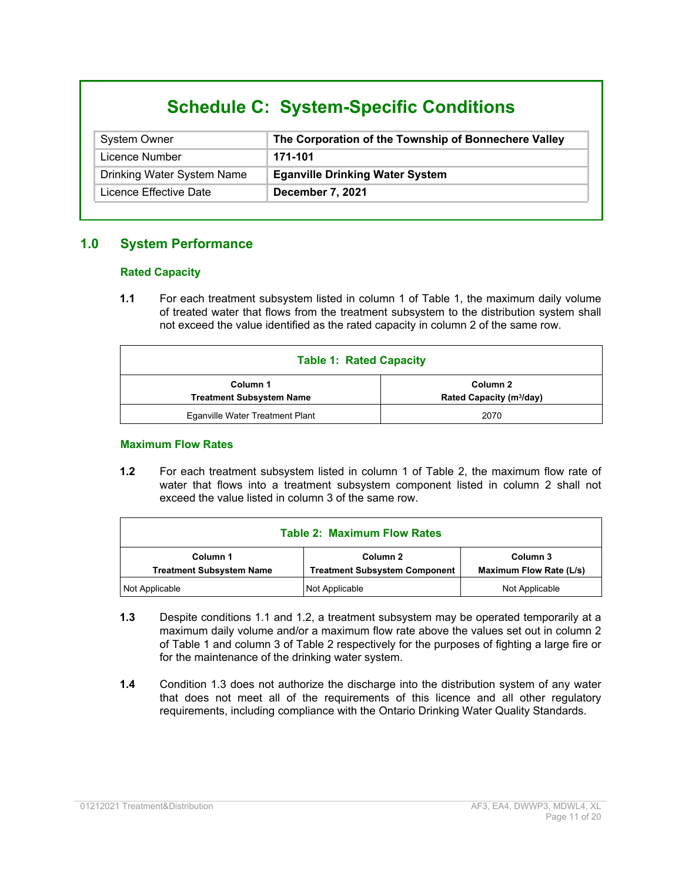# **Schedule C: System-Specific Conditions**

| <b>System Owner</b>        | The Corporation of the Township of Bonnechere Valley |
|----------------------------|------------------------------------------------------|
| Licence Number             | 171-101                                              |
| Drinking Water System Name | <b>Eganville Drinking Water System</b>               |
| Licence Effective Date     | December 7, 2021                                     |

### **1.0 System Performance**

#### **Rated Capacity**

**1.1** For each treatment subsystem listed in column 1 of Table 1, the maximum daily volume of treated water that flows from the treatment subsystem to the distribution system shall not exceed the value identified as the rated capacity in column 2 of the same row.

| <b>Table 1: Rated Capacity</b>                                                                  |      |  |  |
|-------------------------------------------------------------------------------------------------|------|--|--|
| Column 2<br>Column 1<br>Rated Capacity (m <sup>3</sup> /day)<br><b>Treatment Subsystem Name</b> |      |  |  |
| Eganville Water Treatment Plant                                                                 | 2070 |  |  |

#### **Maximum Flow Rates**

**1.2** For each treatment subsystem listed in column 1 of Table 2, the maximum flow rate of water that flows into a treatment subsystem component listed in column 2 shall not exceed the value listed in column 3 of the same row.

| <b>Table 2: Maximum Flow Rates</b>                                                                                                            |  |                |  |  |
|-----------------------------------------------------------------------------------------------------------------------------------------------|--|----------------|--|--|
| Column 1<br>Column 2<br>Column 3<br><b>Treatment Subsystem Name</b><br><b>Maximum Flow Rate (L/s)</b><br><b>Treatment Subsystem Component</b> |  |                |  |  |
| Not Applicable<br>Not Applicable                                                                                                              |  | Not Applicable |  |  |

- **1.3** Despite conditions 1.1 and 1.2, a treatment subsystem may be operated temporarily at a maximum daily volume and/or a maximum flow rate above the values set out in column 2 of Table 1 and column 3 of Table 2 respectively for the purposes of fighting a large fire or for the maintenance of the drinking water system.
- **1.4** Condition 1.3 does not authorize the discharge into the distribution system of any water that does not meet all of the requirements of this licence and all other regulatory requirements, including compliance with the Ontario Drinking Water Quality Standards.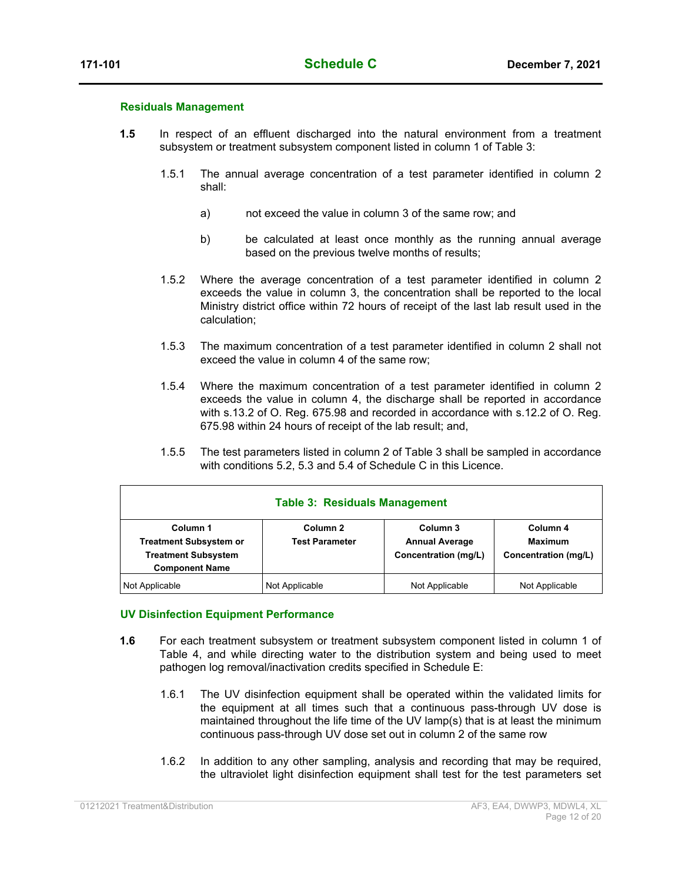#### **Residuals Management**

- **1.5** In respect of an effluent discharged into the natural environment from a treatment subsystem or treatment subsystem component listed in column 1 of Table 3:
	- 1.5.1 The annual average concentration of a test parameter identified in column 2 shall:
		- a) not exceed the value in column 3 of the same row; and
		- b) be calculated at least once monthly as the running annual average based on the previous twelve months of results;
	- 1.5.2 Where the average concentration of a test parameter identified in column 2 exceeds the value in column 3, the concentration shall be reported to the local Ministry district office within 72 hours of receipt of the last lab result used in the calculation;
	- 1.5.3 The maximum concentration of a test parameter identified in column 2 shall not exceed the value in column 4 of the same row;
	- 1.5.4 Where the maximum concentration of a test parameter identified in column 2 exceeds the value in column 4, the discharge shall be reported in accordance with s.13.2 of O. Reg. 675.98 and recorded in accordance with s.12.2 of O. Reg. 675.98 within 24 hours of receipt of the lab result; and,
	- 1.5.5 The test parameters listed in column 2 of Table 3 shall be sampled in accordance with conditions 5.2, 5.3 and 5.4 of Schedule C in this Licence.

| <b>Table 3: Residuals Management</b>                                                             |                                              |                                                           |                                                    |
|--------------------------------------------------------------------------------------------------|----------------------------------------------|-----------------------------------------------------------|----------------------------------------------------|
| Column 1<br><b>Treatment Subsystem or</b><br><b>Treatment Subsystem</b><br><b>Component Name</b> | Column <sub>2</sub><br><b>Test Parameter</b> | Column 3<br><b>Annual Average</b><br>Concentration (mg/L) | Column 4<br><b>Maximum</b><br>Concentration (mg/L) |
| Not Applicable                                                                                   | Not Applicable                               | Not Applicable                                            | Not Applicable                                     |

#### **UV Disinfection Equipment Performance**

- **1.6** For each treatment subsystem or treatment subsystem component listed in column 1 of Table 4, and while directing water to the distribution system and being used to meet pathogen log removal/inactivation credits specified in Schedule E:
	- 1.6.1 The UV disinfection equipment shall be operated within the validated limits for the equipment at all times such that a continuous pass-through UV dose is maintained throughout the life time of the UV lamp(s) that is at least the minimum continuous pass-through UV dose set out in column 2 of the same row
	- 1.6.2 In addition to any other sampling, analysis and recording that may be required, the ultraviolet light disinfection equipment shall test for the test parameters set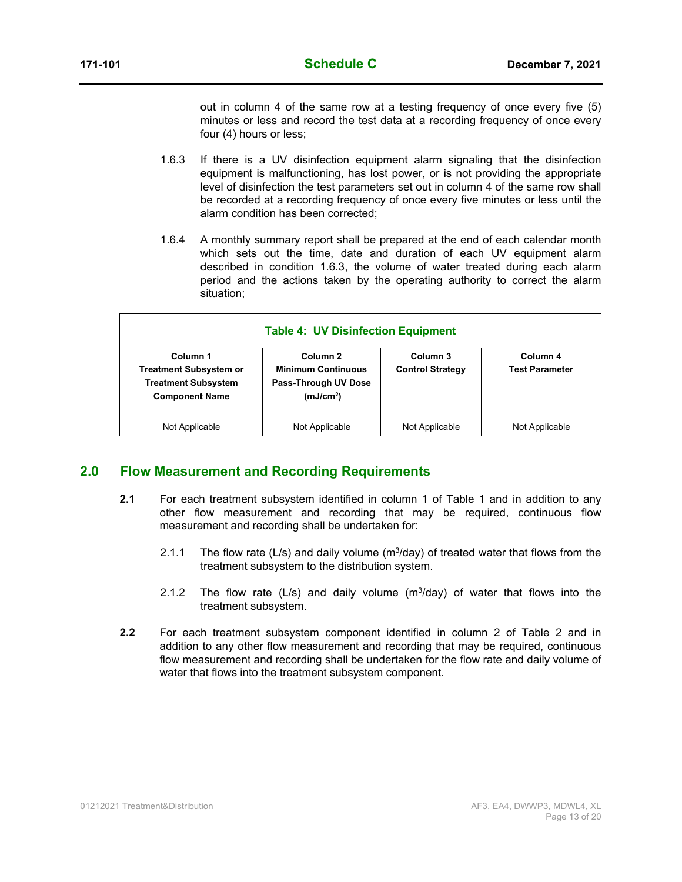out in column 4 of the same row at a testing frequency of once every five (5) minutes or less and record the test data at a recording frequency of once every four (4) hours or less;

- 1.6.3 If there is a UV disinfection equipment alarm signaling that the disinfection equipment is malfunctioning, has lost power, or is not providing the appropriate level of disinfection the test parameters set out in column 4 of the same row shall be recorded at a recording frequency of once every five minutes or less until the alarm condition has been corrected;
- 1.6.4 A monthly summary report shall be prepared at the end of each calendar month which sets out the time, date and duration of each UV equipment alarm described in condition 1.6.3, the volume of water treated during each alarm period and the actions taken by the operating authority to correct the alarm situation;

| <b>Table 4: UV Disinfection Equipment</b>                                                                                                                                                  |                |                                     |                                   |
|--------------------------------------------------------------------------------------------------------------------------------------------------------------------------------------------|----------------|-------------------------------------|-----------------------------------|
| Column 1<br>Column 2<br><b>Minimum Continuous</b><br><b>Treatment Subsystem or</b><br><b>Treatment Subsystem</b><br>Pass-Through UV Dose<br><b>Component Name</b><br>(mJ/cm <sup>2</sup> ) |                | Column 3<br><b>Control Strategy</b> | Column 4<br><b>Test Parameter</b> |
| Not Applicable                                                                                                                                                                             | Not Applicable | Not Applicable                      | Not Applicable                    |

#### **2.0 Flow Measurement and Recording Requirements**

- **2.1** For each treatment subsystem identified in column 1 of Table 1 and in addition to any other flow measurement and recording that may be required, continuous flow measurement and recording shall be undertaken for:
	- 2.1.1 The flow rate (L/s) and daily volume ( $m^3$ /day) of treated water that flows from the treatment subsystem to the distribution system.
	- 2.1.2 The flow rate (L/s) and daily volume ( $m<sup>3</sup>/day$ ) of water that flows into the treatment subsystem.
- **2.2** For each treatment subsystem component identified in column 2 of Table 2 and in addition to any other flow measurement and recording that may be required, continuous flow measurement and recording shall be undertaken for the flow rate and daily volume of water that flows into the treatment subsystem component.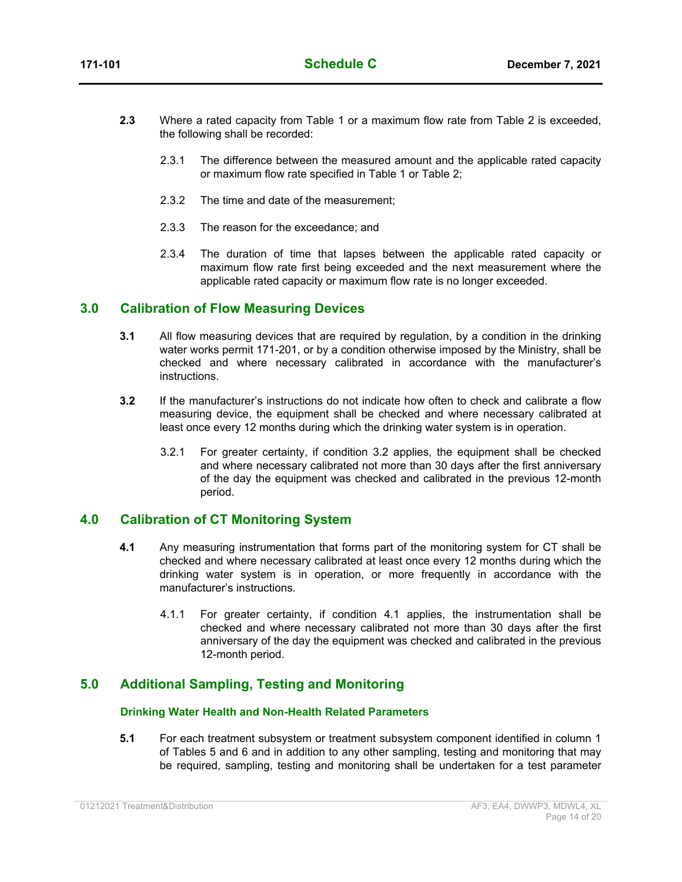- **2.3** Where a rated capacity from Table 1 or a maximum flow rate from Table 2 is exceeded, the following shall be recorded:
	- 2.3.1 The difference between the measured amount and the applicable rated capacity or maximum flow rate specified in Table 1 or Table 2;
	- 2.3.2 The time and date of the measurement;
	- 2.3.3 The reason for the exceedance; and
	- 2.3.4 The duration of time that lapses between the applicable rated capacity or maximum flow rate first being exceeded and the next measurement where the applicable rated capacity or maximum flow rate is no longer exceeded.

#### **3.0 Calibration of Flow Measuring Devices**

- **3.1** All flow measuring devices that are required by regulation, by a condition in the drinking water works permit 171-201, or by a condition otherwise imposed by the Ministry, shall be checked and where necessary calibrated in accordance with the manufacturer's instructions.
- **3.2** If the manufacturer's instructions do not indicate how often to check and calibrate a flow measuring device, the equipment shall be checked and where necessary calibrated at least once every 12 months during which the drinking water system is in operation.
	- 3.2.1 For greater certainty, if condition 3.2 applies, the equipment shall be checked and where necessary calibrated not more than 30 days after the first anniversary of the day the equipment was checked and calibrated in the previous 12-month period.

#### **4.0 Calibration of CT Monitoring System**

- **4.1** Any measuring instrumentation that forms part of the monitoring system for CT shall be checked and where necessary calibrated at least once every 12 months during which the drinking water system is in operation, or more frequently in accordance with the manufacturer's instructions.
	- 4.1.1 For greater certainty, if condition 4.1 applies, the instrumentation shall be checked and where necessary calibrated not more than 30 days after the first anniversary of the day the equipment was checked and calibrated in the previous 12-month period.

### **5.0 Additional Sampling, Testing and Monitoring**

#### **Drinking Water Health and Non-Health Related Parameters**

**5.1** For each treatment subsystem or treatment subsystem component identified in column 1 of Tables 5 and 6 and in addition to any other sampling, testing and monitoring that may be required, sampling, testing and monitoring shall be undertaken for a test parameter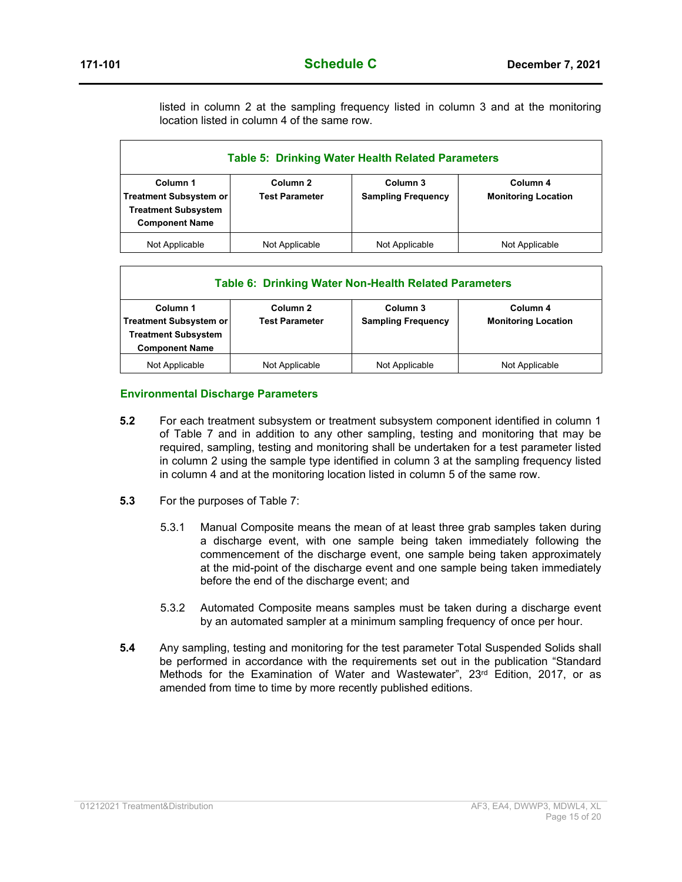listed in column 2 at the sampling frequency listed in column 3 and at the monitoring location listed in column 4 of the same row.

| <b>Table 5: Drinking Water Health Related Parameters</b>                                         |                                              |                                       |                                        |
|--------------------------------------------------------------------------------------------------|----------------------------------------------|---------------------------------------|----------------------------------------|
| Column 1<br><b>Treatment Subsystem or</b><br><b>Treatment Subsystem</b><br><b>Component Name</b> | Column <sub>2</sub><br><b>Test Parameter</b> | Column 3<br><b>Sampling Frequency</b> | Column 4<br><b>Monitoring Location</b> |
| Not Applicable                                                                                   | Not Applicable                               | Not Applicable                        | Not Applicable                         |

| <b>Table 6: Drinking Water Non-Health Related Parameters</b>                                     |                                                                                                   |                |                            |
|--------------------------------------------------------------------------------------------------|---------------------------------------------------------------------------------------------------|----------------|----------------------------|
| Column 1<br><b>Treatment Subsystem or</b><br><b>Treatment Subsystem</b><br><b>Component Name</b> | Column 3<br>Column <sub>2</sub><br>Column 4<br><b>Sampling Frequency</b><br><b>Test Parameter</b> |                | <b>Monitoring Location</b> |
| Not Applicable                                                                                   | Not Applicable                                                                                    | Not Applicable | Not Applicable             |

#### **Environmental Discharge Parameters**

- **5.2** For each treatment subsystem or treatment subsystem component identified in column 1 of Table 7 and in addition to any other sampling, testing and monitoring that may be required, sampling, testing and monitoring shall be undertaken for a test parameter listed in column 2 using the sample type identified in column 3 at the sampling frequency listed in column 4 and at the monitoring location listed in column 5 of the same row.
- **5.3** For the purposes of Table 7:
	- 5.3.1 Manual Composite means the mean of at least three grab samples taken during a discharge event, with one sample being taken immediately following the commencement of the discharge event, one sample being taken approximately at the mid-point of the discharge event and one sample being taken immediately before the end of the discharge event; and
	- 5.3.2 Automated Composite means samples must be taken during a discharge event by an automated sampler at a minimum sampling frequency of once per hour.
- **5.4** Any sampling, testing and monitoring for the test parameter Total Suspended Solids shall be performed in accordance with the requirements set out in the publication "Standard Methods for the Examination of Water and Wastewater", 23<sup>rd</sup> Edition, 2017, or as amended from time to time by more recently published editions.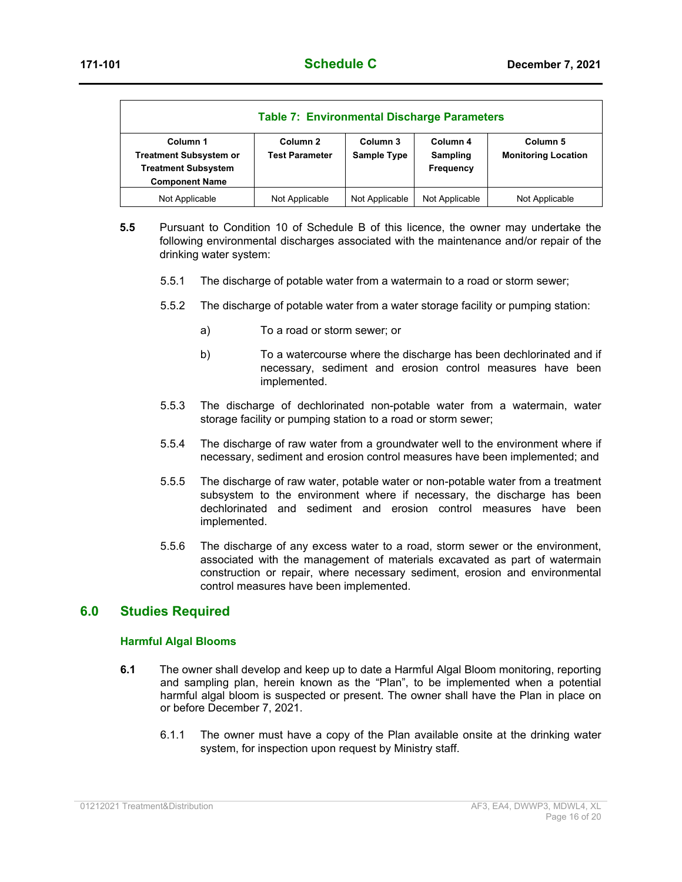|                                                                                                  | <b>Table 7: Environmental Discharge Parameters</b> |                         |                                   |                                        |
|--------------------------------------------------------------------------------------------------|----------------------------------------------------|-------------------------|-----------------------------------|----------------------------------------|
| Column 1<br><b>Treatment Subsystem or</b><br><b>Treatment Subsystem</b><br><b>Component Name</b> | Column <sub>2</sub><br><b>Test Parameter</b>       | Column 3<br>Sample Type | Column 4<br>Sampling<br>Frequency | Column 5<br><b>Monitoring Location</b> |
| Not Applicable                                                                                   | Not Applicable                                     | Not Applicable          | Not Applicable                    | Not Applicable                         |

- **5.5** Pursuant to Condition 10 of Schedule B of this licence, the owner may undertake the following environmental discharges associated with the maintenance and/or repair of the drinking water system:
	- 5.5.1 The discharge of potable water from a watermain to a road or storm sewer;
	- 5.5.2 The discharge of potable water from a water storage facility or pumping station:
		- a) To a road or storm sewer; or
		- b) To a watercourse where the discharge has been dechlorinated and if necessary, sediment and erosion control measures have been implemented.
	- 5.5.3 The discharge of dechlorinated non-potable water from a watermain, water storage facility or pumping station to a road or storm sewer;
	- 5.5.4 The discharge of raw water from a groundwater well to the environment where if necessary, sediment and erosion control measures have been implemented; and
	- 5.5.5 The discharge of raw water, potable water or non-potable water from a treatment subsystem to the environment where if necessary, the discharge has been dechlorinated and sediment and erosion control measures have been implemented.
	- 5.5.6 The discharge of any excess water to a road, storm sewer or the environment, associated with the management of materials excavated as part of watermain construction or repair, where necessary sediment, erosion and environmental control measures have been implemented.

#### **6.0 Studies Required**

#### **Harmful Algal Blooms**

- **6.1** The owner shall develop and keep up to date a Harmful Algal Bloom monitoring, reporting and sampling plan, herein known as the "Plan", to be implemented when a potential harmful algal bloom is suspected or present. The owner shall have the Plan in place on or before December 7, 2021.
	- 6.1.1 The owner must have a copy of the Plan available onsite at the drinking water system, for inspection upon request by Ministry staff.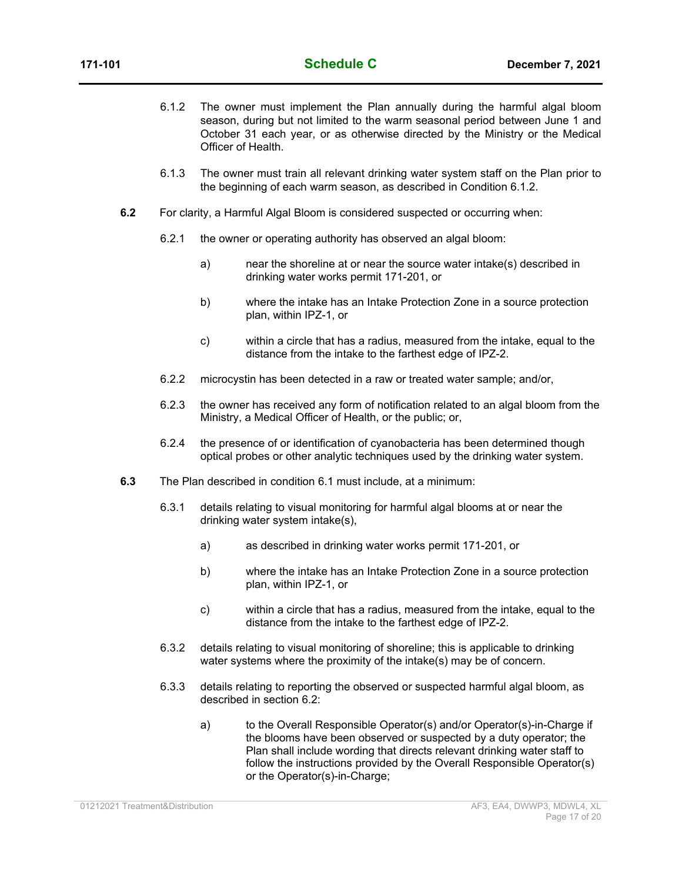- 6.1.2 The owner must implement the Plan annually during the harmful algal bloom season, during but not limited to the warm seasonal period between June 1 and October 31 each year, or as otherwise directed by the Ministry or the Medical Officer of Health.
- 6.1.3 The owner must train all relevant drinking water system staff on the Plan prior to the beginning of each warm season, as described in Condition 6.1.2.
- **6.2** For clarity, a Harmful Algal Bloom is considered suspected or occurring when:
	- 6.2.1 the owner or operating authority has observed an algal bloom:
		- a) near the shoreline at or near the source water intake(s) described in drinking water works permit 171-201, or
		- b) where the intake has an Intake Protection Zone in a source protection plan, within IPZ-1, or
		- c) within a circle that has a radius, measured from the intake, equal to the distance from the intake to the farthest edge of IPZ-2.
	- 6.2.2 microcystin has been detected in a raw or treated water sample; and/or,
	- 6.2.3 the owner has received any form of notification related to an algal bloom from the Ministry, a Medical Officer of Health, or the public; or,
	- 6.2.4 the presence of or identification of cyanobacteria has been determined though optical probes or other analytic techniques used by the drinking water system.
- **6.3** The Plan described in condition 6.1 must include, at a minimum:
	- 6.3.1 details relating to visual monitoring for harmful algal blooms at or near the drinking water system intake(s),
		- a) as described in drinking water works permit 171-201, or
		- b) where the intake has an Intake Protection Zone in a source protection plan, within IPZ-1, or
		- c) within a circle that has a radius, measured from the intake, equal to the distance from the intake to the farthest edge of IPZ-2.
	- 6.3.2 details relating to visual monitoring of shoreline; this is applicable to drinking water systems where the proximity of the intake(s) may be of concern.
	- 6.3.3 details relating to reporting the observed or suspected harmful algal bloom, as described in section 6.2:
		- a) to the Overall Responsible Operator(s) and/or Operator(s)-in-Charge if the blooms have been observed or suspected by a duty operator; the Plan shall include wording that directs relevant drinking water staff to follow the instructions provided by the Overall Responsible Operator(s) or the Operator(s)-in-Charge;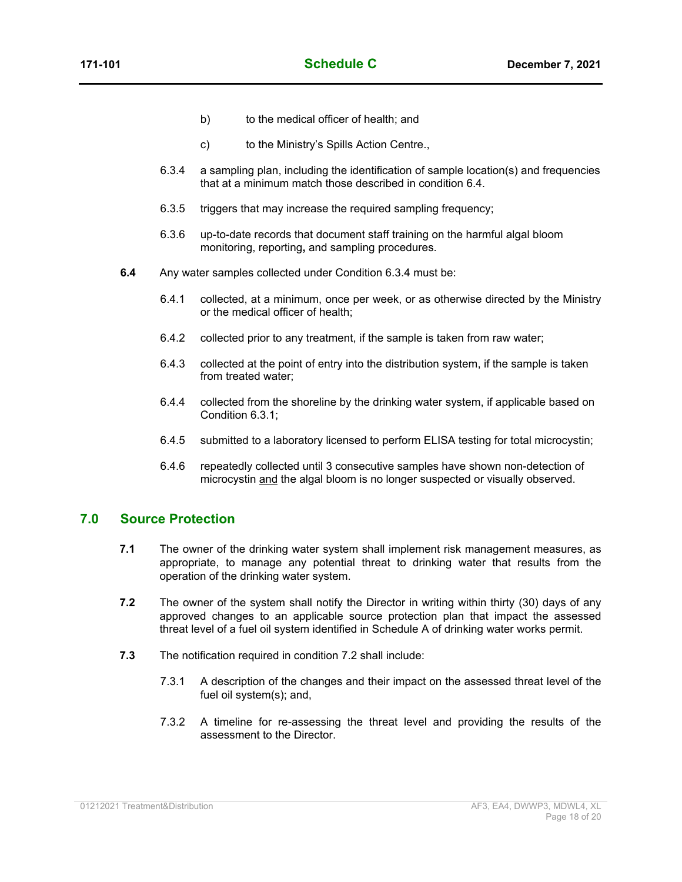- b) to the medical officer of health; and
- c) to the Ministry's Spills Action Centre.,
- 6.3.4 a sampling plan, including the identification of sample location(s) and frequencies that at a minimum match those described in condition 6.4.
- 6.3.5 triggers that may increase the required sampling frequency;
- 6.3.6 up-to-date records that document staff training on the harmful algal bloom monitoring, reporting**,** and sampling procedures.
- **6.4** Any water samples collected under Condition 6.3.4 must be:
	- 6.4.1 collected, at a minimum, once per week, or as otherwise directed by the Ministry or the medical officer of health;
	- 6.4.2 collected prior to any treatment, if the sample is taken from raw water;
	- 6.4.3 collected at the point of entry into the distribution system, if the sample is taken from treated water;
	- 6.4.4 collected from the shoreline by the drinking water system, if applicable based on Condition 6.3.1;
	- 6.4.5 submitted to a laboratory licensed to perform ELISA testing for total microcystin;
	- 6.4.6 repeatedly collected until 3 consecutive samples have shown non-detection of microcystin and the algal bloom is no longer suspected or visually observed.

#### **7.0 Source Protection**

- **7.1** The owner of the drinking water system shall implement risk management measures, as appropriate, to manage any potential threat to drinking water that results from the operation of the drinking water system.
- **7.2** The owner of the system shall notify the Director in writing within thirty (30) days of any approved changes to an applicable source protection plan that impact the assessed threat level of a fuel oil system identified in Schedule A of drinking water works permit.
- **7.3** The notification required in condition 7.2 shall include:
	- 7.3.1 A description of the changes and their impact on the assessed threat level of the fuel oil system(s); and,
	- 7.3.2 A timeline for re-assessing the threat level and providing the results of the assessment to the Director.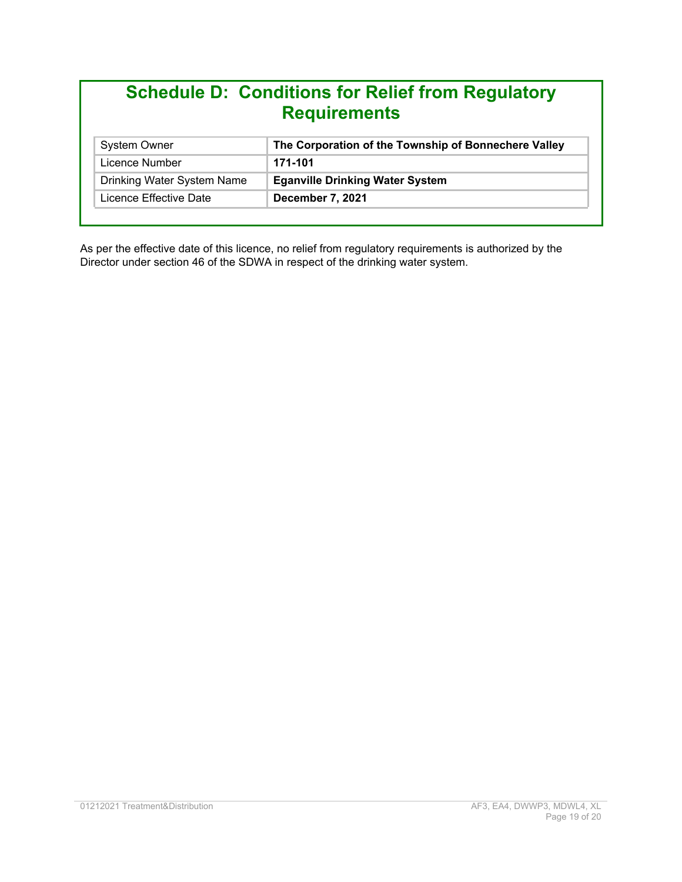# **Schedule D: Conditions for Relief from Regulatory Requirements**

| <b>System Owner</b>        | The Corporation of the Township of Bonnechere Valley |
|----------------------------|------------------------------------------------------|
| Licence Number             | 171-101                                              |
| Drinking Water System Name | <b>Eganville Drinking Water System</b>               |
| Licence Effective Date     | December 7, 2021                                     |

As per the effective date of this licence, no relief from regulatory requirements is authorized by the Director under section 46 of the SDWA in respect of the drinking water system.